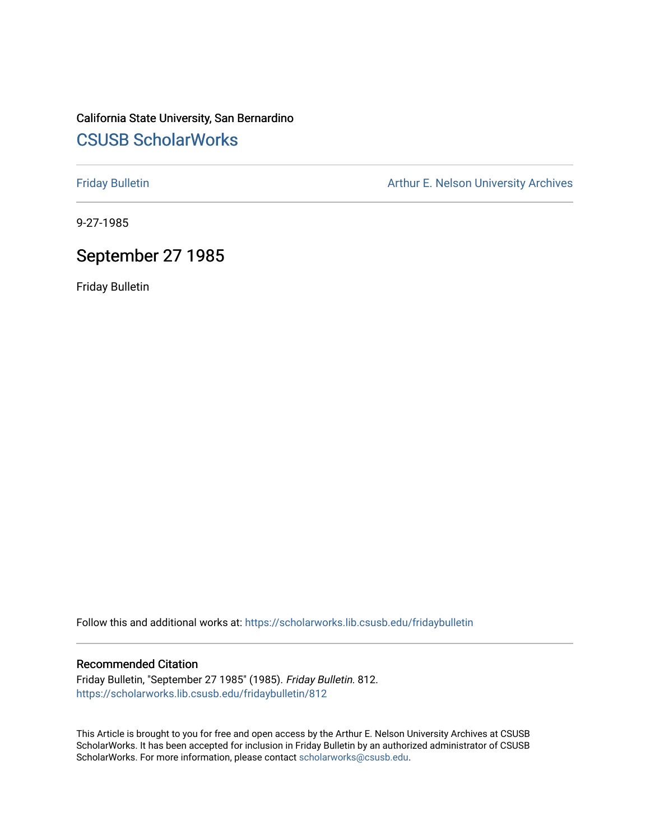### California State University, San Bernardino [CSUSB ScholarWorks](https://scholarworks.lib.csusb.edu/)

[Friday Bulletin](https://scholarworks.lib.csusb.edu/fridaybulletin) **Arthur E. Nelson University Archives** Arthur E. Nelson University Archives

9-27-1985

### September 27 1985

Friday Bulletin

Follow this and additional works at: [https://scholarworks.lib.csusb.edu/fridaybulletin](https://scholarworks.lib.csusb.edu/fridaybulletin?utm_source=scholarworks.lib.csusb.edu%2Ffridaybulletin%2F812&utm_medium=PDF&utm_campaign=PDFCoverPages)

### Recommended Citation

Friday Bulletin, "September 27 1985" (1985). Friday Bulletin. 812. [https://scholarworks.lib.csusb.edu/fridaybulletin/812](https://scholarworks.lib.csusb.edu/fridaybulletin/812?utm_source=scholarworks.lib.csusb.edu%2Ffridaybulletin%2F812&utm_medium=PDF&utm_campaign=PDFCoverPages)

This Article is brought to you for free and open access by the Arthur E. Nelson University Archives at CSUSB ScholarWorks. It has been accepted for inclusion in Friday Bulletin by an authorized administrator of CSUSB ScholarWorks. For more information, please contact [scholarworks@csusb.edu.](mailto:scholarworks@csusb.edu)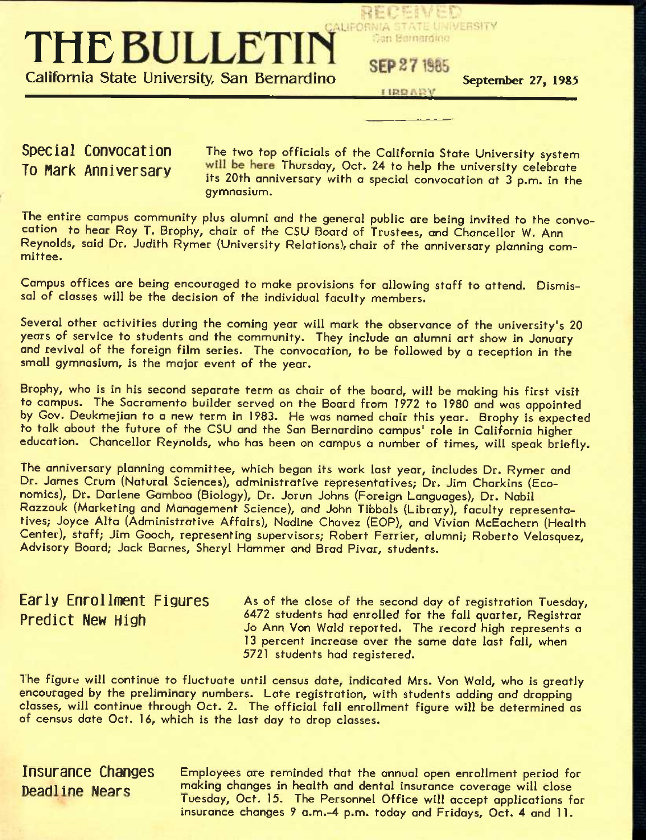## CALIFORNIA STATE UNIVERSITY **THE BULLETIN California State University, San Bernardino SEP 27 1985 September 27, 1985**

Special Convocation The two top officials of the California State University system To Mark Anniversary will be here Thursday, Oct. 24 to help the university celebrate Its 20th anniversary with a special convocation at 3 p.m. in the gymnasium.

RECENT

Can Bernarding

The entire campus community plus alumni and the general public are being invited to the convocation to hear Roy T. Brophy, chair of the CSU Board of Trustees, and Chancellor W. Ann Reynolds, said Dr. Judith Rymer (University Relations), chair of the anniversary planning committee.

Campus offices are being encouraged to make provisions for allowing staff to attend. Dismissal of classes will be the decision of the individual faculty members.

Several other activities during the coming year will mark the observance of the university's 20 years of service to students and the community. They include an alumni art show in January and revival of the foreign film series. The convocation, to be followed by a reception in the small gymnasium. Is the major event of the year,

Brophy, who is in his second separate term as chair of the board, will be making his first visit to campus. The Sacramento builder served on the Board from 1972 to 1980 and was appointed by Gov. Deukmejion to a new term in 1983. He was named chair this year. Brophy is expected to talk about the future of the CSU and the San Bernardino campus' role in California higher education. Chancellor Reynolds, who has been on campus a number of times, will speak briefly.

The anniversary planning committee, which began its work last year, includes Dr. Rymer and Dr. James Crum (Natural Sciences), administrative representatives; Dr. Jim Charklns (Economics), Dr. Darlene Gamboa (Biology), Dr. Jorun Johns (Foreign Languages), Dr. Nabll Razzouk (Marketing and Management Science), and John Tibbals (Library), faculty representatives; Joyce Alta (Administrative Affairs), Nadlne Chavez (BOP), and Vivian McEachern (Health Center), staff; Jim Gooch, representing supervisors; Robert Ferrier, alumni; Roberto Velasquez, Advisory Board; Jack Barnes, Sheryl Hammer and Brad Pivar, students.

### **Early Enrollment Figures Predict New High**

As of the close of the second day of registration Tuesday, 6472 students had enrolled for the fall quarter. Registrar Jo Ann Von Wald reported. The record high represents a 13 percent increase over the same date last fall, when 5721 students had registered.

The figure will continue to fluctuate until census date, indicated Mrs. Von Wald, who is greatly encouraged by the preliminary numbers. Late registration, with students adding and dropping classes, will continue through Oct. 2. The official fall enrollment figure will be determined as of census date Oct. 16, which is the last day to drop classes.

**Insurance Changes** Employees are reminded that the annual open enrollment period for Deadline Nears making changes in health and dental insurance coverage will close Tuesday, Oct. 15. The Personnel Office will accept applications for insurance changes 9 a.m.-4 p.m. today and Fridays, Oct. 4 and 11.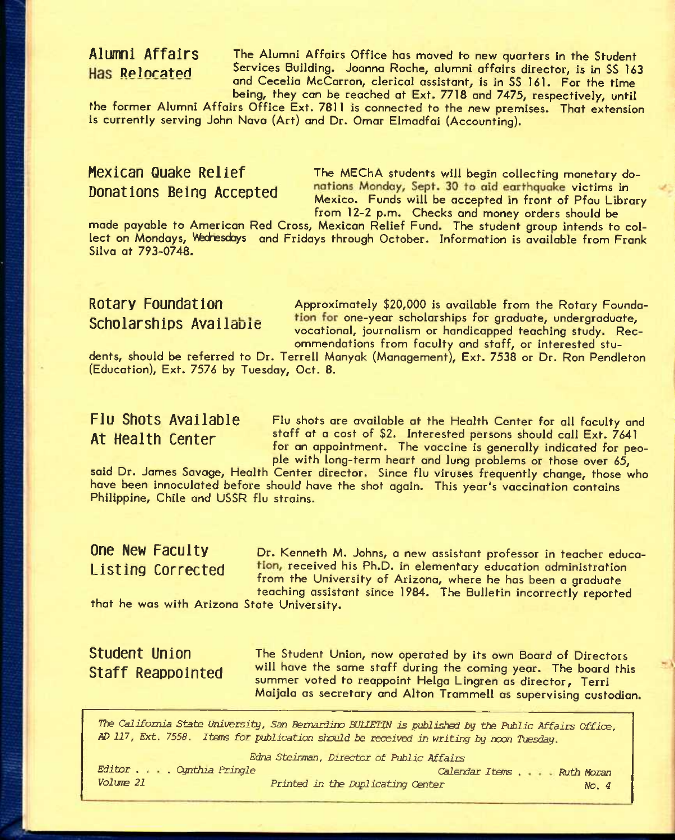**Alumni Affairs** The Alumni Affairs Office has moved to new quarters in the Student Has Relocated Services Building. Joanna Roche, alumni affairs director, is in SS 163 and Cecelia McCarron, clerical assistant, is in SS 161. For the time being, they can be reached at Ext. 7718 and 7475, respectively, until

the former Alumni Affairs Office Ext. 7811 is connected to the new premises. That extension is currently serving John Nova (Art) and Dr. Omar Elmadfai (Accounting).

**Mexican Quake Relief** The MEChA students will begin collecting monetary do-**Donations Being Accepted** nations Monday, Sept. 30 to aid earthquake victims in Mexico. Funds will be accepted in front of Pfau Library from 12-2 p.m. Checks and money orders should be

made payable to American Red Cross, Mexican Relief Fund. The student group intends to collect on Mondays, Wednesdays and Fridays through October. Information is available from Frank Silva at 793-0748.

**Rotary Foundation Approximately \$20,000** is available from the Rotary Founda-Scholarships Available tion for one-year scholarships for graduate, undergraduate, vocational, journalism or handicapped teaching study. Recommendations from faculty and staff, or interested stu-

dents, should be referred to Dr. Terrell Manyak (Management), Ext. 7538 or Dr. Ron Pendleton (Education), Ext. 7576 by Tuesday, Oct. 8.

Flu Shots Available Flu shots are available at the Health Center for all faculty and **At Health Center** staff at a cost of **\$2.** interested persons should call Ext. 7641 for an appointment. The vaccine is generally indicated for people with long-term heart and lung problems or those over 65,

said Dr. James Savage, Health Center director. Since flu viruses frequently change, those who have been innoculated before should have the shot again. This year's vaccination contains Philippine, Chile and USSR flu strains.

**One New Faculty** Dr. Kenneth M. Johns, a new assistant professor in teacher educa-Listing Corrected tion, received his Ph.D. in elementary education administration from the University of Arizona, where he has been a graduate teaching assistant since 1984. The Bulletin incorrectly reported

that he was with Arizona State University.

### **Student Union Staff Reappointed**

The Student Union, now operated by its own Board of Directors will have the same staff during the coming year. The board this summer voted to reappoint Helga Lingren as director, Terri Moijala as secretary and Alton Trammell as supervising custodian.

*The California State University, San Bernardino BUUETIN is published by* the *Public Affairs Office, AD 117, Ext. 7558. Itars for publication should be received in writing by rocn Tuesday.* 

*Edna Steintnan, Director of Public* Affairs

*Editor . . . Cynthia Pringle Volwe 21* 

*Calendar Items . Ruth Moran Printed in the Duplicating Center* 

*No. 4*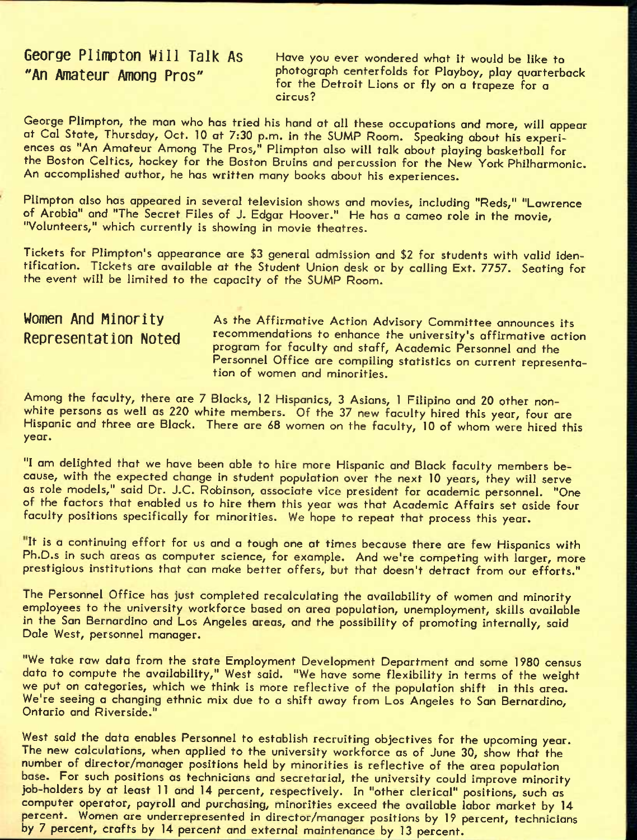# **George Plimpton Will Talk As** Have you ever wondered what it would be like to

**"An Arn3t6Ur AmOnQ Pros"** photograph centerfolds for Playboy, play quarterback for the Detroit Lions or fly on a trapeze for a circus?

George Plimpton, the man who has tried his hand at all these occupations and more, will appear at Cal State, Thursday, Oct. 10 at 7:30 p.m. in the SUMP Room. Speaking about his experiences as "An Amateur Among The Pros," Plimpton also will talk about playing basketball for the Boston Celtics, hockey for the Boston Bruins and percussion for the New York Philharmonic. An accomplished author, he has written many books about his experiences.

Plimpton also has appeared in several television shows and movies, including "Reds," "Lawrence of Arabia" and "The Secret Files of J. Edgar Hoover." He has a cameo role in the movie, "Volunteers," which currently is showing in movie theatres.

Tickets for Plimpton's appearance are \$3 general admission and \$2 for students with valid identification, Tickets are available at the Student Union desk or by calling Ext. 7757. Seating for the event will be limited to the capacity of the SUMP Room.

**WOMEN And Minority** As the Affirmative Action Advisory Committee announces its Representation Noted recommendations to enhance the university's affirmative action program for faculty and staff. Academic Personnel and the Personnel Office are compiling statistics on current representation of women and minorities.

Arnong the faculty, there ore 7 Blacks, 12 Hispanics, 3 Asians, 1 Filipino and 20 other nonwhite persons as well as 220 white members. Of the 37 new faculty hired this year, four are Hispanic and three are Black. There are 68 women on the faculty, 10 of whom were hired this year.

"I am delighted that we have been able to hire more Hispanic and Black faculty members because, with the expected change in student population over the next 10 years, they will serve as role models," said Dr. J.C. Robinson, associate vice president for academic personnel. "One of the factors that enabled us to hire them this year was that Academic Affairs set aside four faculty positions specifically for minorities. We hope to repeat that process this year.

"It is a continuing effort for us and a tough one at times because there are few Hispanics with Ph.D.s in such areas as computer science, for example. And we're competing with larger, more prestigious institutions that can make better offers, but that doesn't detract from our efforts."

The Personnel Office has just completed recalculating the availability of women and minority employees to the university workforce based on area population, unemployment, skills available in the San Bernardino and Los Angeles areas, and the possibility of promoting internally, said Dale West, personnel manager.

"We take raw data from the state Employment Development Department and some 1980 census data to compute the availability," West said. "We have some flexibility in terms of the weight we put on categories, which we think is more reflective of the population shift in this area. We're seeing a changing ethnic mix due to a shift away from Los Angeles to San Bernardino, Ontario and Riverside."

West said the data enables Personnel to establish recruiting objectives for the upcoming year. The new calculations, when applied to the university workforce as of June 30, show that the number of director/manager positions held by minorities is reflective of the area population base. For such positions as technicians and secretarial, the university could improve minority job-holders by at least 11 and 14 percent, respectively. In "other clerical" positions, such as computer operator, payroll and purchasing, minorities exceed the available labor market by 14 percent. Women are underrepresented in director/manager positions by 19 percent, technicians by 7 percent, crafts by 14 percent and external maintenance by 13 percent.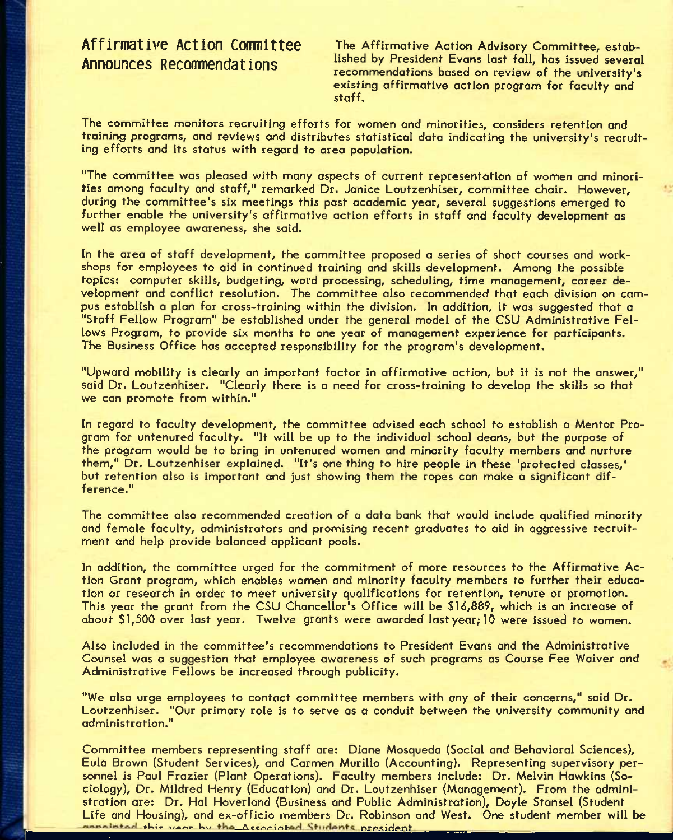**Affirmative Action Comnittee Announces Recommendations** 

The Affirmative Action Advisory Committee, established by President Evans last fall, has issued several recommendations based on review of the university's existing affirmative action program for faculty and staff.

The committee monitors recruiting efforts for women and minorities, considers retention and training programs, and reviews and distributes statistical data indicating the university's recruiting efforts and its status with regard to area population.

"The committee was pleased with many aspects of current representation of women and minorities among faculty and staff," remarked Dr. Janice Loutzenhiser, committee chair. However, during the committee's six meetings this past academic year, several suggestions emerged to further enable the university's affirmative action efforts in staff and faculty development as well as employee awareness, she said.

In the area of staff development, the committee proposed a series of short courses and workshops for employees to aid in continued training and skills development. Among the possible topics: computer skills, budgeting, word processing, scheduling, time management, career development and conflict resolution. The committee also recommended that each division on campus establish a plan for cross-training within the division. In addition, it was suggested that a "Staff Fellow Program" be established under the general model of the CSU Administrative Fellows Program, to provide six months to one year of management experience for participants. The Business Office has accepted responsibility for the program's development.

"Upward mobility is clearly an important factor in affirmative action, but it is not the answer," said Dr. Loutzenhiser. "Clearly there is a need for cross-training to develop the skills so that we can promote from within."

In regard to faculty development, the committee advised each school to establish a Mentor Program for untenured faculty. "It will be up to the individual school deans, but the purpose of the program would be to bring in untenured women and minority faculty members and nurture them," Dr. Loutzenhiser explained. "It's one thing to hire people in these 'protected classes,' but retention also is important and just showing them the ropes can make a significant difference."

The committee also recommended creation of a data bank that would include qualified minority and female faculty, administrators and promising recent graduates to aid in aggressive recruitment and help provide balanced applicant pools.

In addition, the committee urged for the commitment of more resources to the Affirmative Action Grant program, which enables women and minority faculty members to further their education or research in order to meet university qualifications for retention, tenure or promotion. This year the grant from the CSU Chancellor's Office will be \$16,889, which is an increase of about \$1,500 over last year. Twelve grants were awarded last year; 10 were issued to women.

Also included in the committee's recommendations to President Evans and the Administrative Counsel was *a* suggestion that employee awareness of such programs as Course Fee Waiver and Administrative Fellows be increased through publicity.

"We also urge employees to contact committee members with any of their concerns," said Dr. Loutzenhiser. "Our primary role is to serve as a conduit between the university community and administration."

Committee members representing staff are: Diane Mosqueda (Social and Behavioral Sciences), Eula Brown (Student Services), and Carmen Murillo (Accounting). Representing supervisory personnel is Paul Frazier (Plant Operations). Faculty members include: Dr. Melvin Hawkins (Sociology), Dr. Mildred Henry (Education) and Dr. Loutzenhiser (Management). From the administration are: Dr. Hal Hoverland (Business and Public Administration), Doyle Stansel (Student Life and Housing), and ex-officio members Dr. Robinson and West. One student member will be annointed this year by the Accoriated Students president.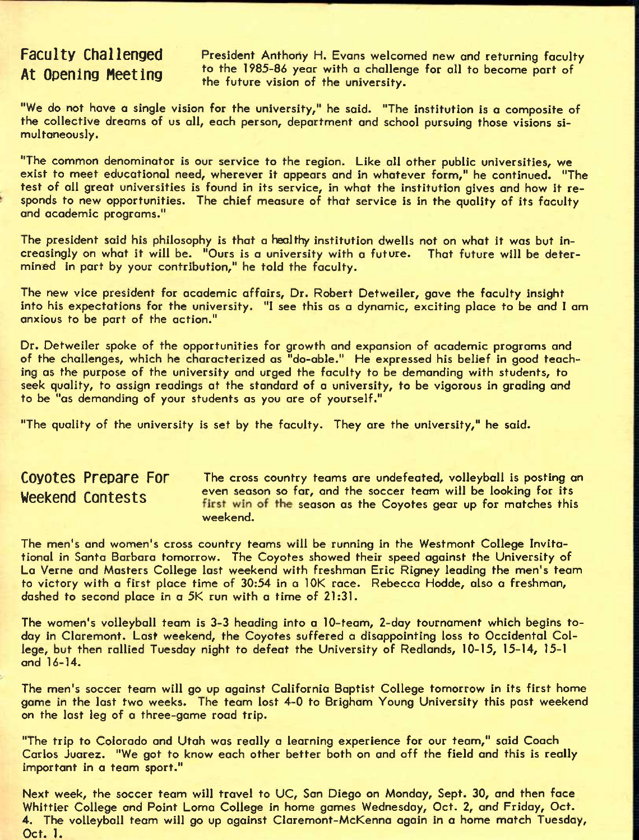### **Faculty Challenged At Opening Meeting**

President Anthony H. Evans welcomed new and returning faculty to the 1985-86 year with a challenge for all to become part of the future vision of the university.

"We do not have a single vision for the university," he said. "The institution is *a* composite of the collective dreams of us all, each person, department and school pursuing those visions simultaneously.

"The common denominator is our service to the region. Like all other public universities, we exist to meet educational need, wherever it appears and in whatever form," he continued. "The test of all great universities is found in its service, in what the institution gives and how it responds to new opportunities. The chief measure of that service is in the quality of its faculty and academic programs."

The president said his philosophy is that a healthy institution dwells not on what it was but increasingly on what it will be. "Ours is a university with a future. That future will be determined in part by your contribution," he told the faculty.

The new vice president for academic affairs, Dr. Robert Detweiler, gave the faculty insight into his expectations for the university. "I see this as a dynamic, exciting place to be and I am anxious to be part of the action."

Dr. Detweiler spoke of the opportunities for growth and expansion of academic programs and of the challenges, which he characterized as "do-able." He expressed his belief in good teaching as the purpose of the university and urged the faculty to be demanding with students, to seek quality, to assign readings at the standard of a university, to be vigorous in grading and to be "as demanding of your students as you are of yourself."

"The quality of the university is set by the faculty. They are the university," he said.

**COVOTES Prepare FOr** The cross country teams are undefeated, volleyball is posting an Weekend Cantests even season so far, and the soccer team will be looking for its first win of the season as the Coyotes gear up for matches this weekend.

The men's and women's cross country teams will be running in the Westmont College Invitational in Santa Barbara tomorrow. The Coyotes showed their speed against the University of La Verne and Masters College last weekend with freshman Eric Rigney leading the men's team to victory with a first place time of 30:54 in a lOK race. Rebecca Hodde, also a freshman, dashed to second place in a 5K run with a time of 21:31.

The women's volleyball team is 3-3 heading into a 10-team, 2-day tournament which begins today in Claremont. Last weekend, the Coyotes suffered a disappointing loss to Occidental College, but then rallied Tuesday night to defeat the University of Redlands, 10-15, 15-14, 15-1 and 16-14.

The men's soccer team will go up against California Baptist College tomorrow in its first home game in the last two weeks. The team lost 4-0 to Brigham Young University this past weekend on the last leg of a three-game road trip.

"The trip to Colorado and Utah was really a learning experience for our team," said Coach Carlos Juarez. "We got to know each other better both on and off the field and this is really important in a team sport."

Next week, the soccer team will travel to UC, San Diego on Monday, Sept. 30, and then face Whittier College and Point Loma College in home games Wednesday, Oct. 2, and Friday, Oct. 4. The volleyball team will go up against Claremont-McKenna again in *a* home match Tuesday, Oct. 1.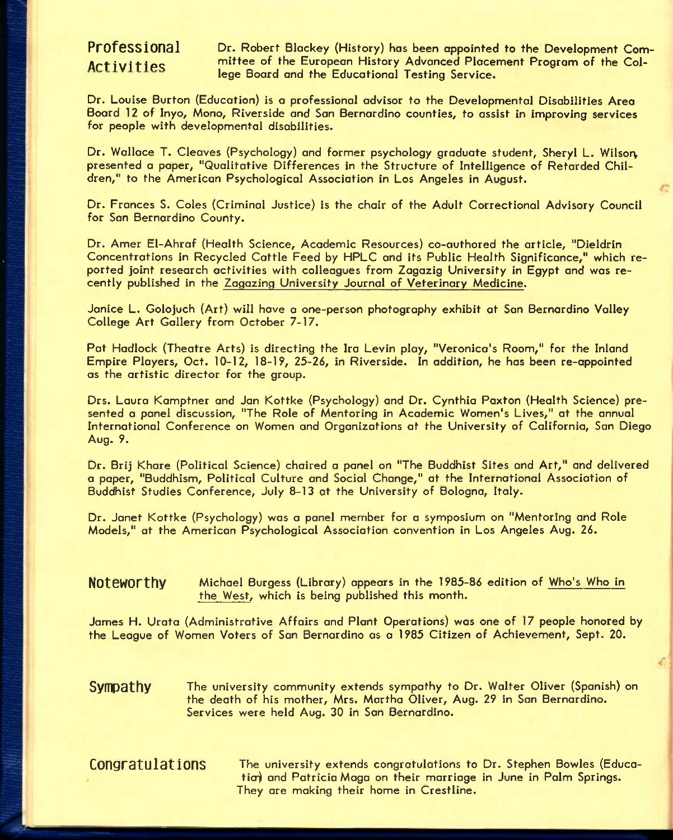PrOfessional Dr. Robert Blackey (History) has been appointed to the Development Com-Activities mittee of the European History Advanced Placement Program of the College Board and the Educational Testing Service.

Dr. Louise Burton (Education) is a professional advisor to the Developmental Disabilities Area Board 12 of Inyo, Mono, Riverside and San Bernardino counties, to assist in improving services for people with developmental disabilities.

Dr. Wallace T. Cleaves (Psychology) and former psychology graduate student, Sheryl L. Wilson, presented a paper, "Qualitative Differences in the Structure of Intelligence of Retarded Children," to the American Psychological Association in Los Angeles in August.

Dr. Frances S. Coles (Criminal Justice) is the chair of the Adult Correctional Advisory Council for Son Bernardino County.

Dr. Amer El-Ahraf (Health Science, Academic Resources) co-authored the article, "Dieldrin Concentrations in Recycled Cattle Feed by HPLC and its Public Health Significance," which reported joint research activities with colleagues from Zogozig University in Egypt and was recently published in the Zagazing University Journal of Veterinary Medicine.

Janice L. Golojuch (Art) will have a one-person photography exhibit at San Bernardino Valley College Art Gallery from October 7-17.

Pat Hadlock (Theatre Arts) is directing the Ira Levin play, "Veronica's Room," for the Inland Empire Players, Oct. 10-12, 18-19, 25-26, in Riverside. In addition, he has been re-appointed as the artistic director for the group.

Drs. Laura Kamptner and Jan Kottke (Psychology) and Dr. Cynthia Paxton (Health Science) presented a panel discussion, "The Role of Mentoring in Academic Women's Lives," at the annual International Conference on Women and Organizations at the University of California, San Diego Aug. 9.

Dr. Brij Khore (Political Science) chaired a panel on "The Buddhist Sites and Art," and delivered a paper, "Buddhism, Political Culture and Social Change," at the International Association of Buddhist Studies Conference, July 8-13 at the University of Bologna, Italy.

Dr. Janet Kottke (Psychology) was a panel member for a symposium on "Mentoring and Role Models," at the American Psychological Association convention in Los Angeles Aug. *26.* 

### **NOtGWOrthy** Michael Burgess (Library) appears in the 1985-86 edition of Who's Who in the West, which is being published this month.

James H. Urata (Administrative Affairs and Plant Operations) was one of 17 people honored by the League of Women Voters of San Bernardino as a 1985 Citizen of Achievement, Sept. 20,

**Sympathy** The university community extends sympathy to Dr. Walter Oliver (Spanish) on the death of his mother, Mrs. Martha Oliver, Aug. 29 in San Bernardino. Services were held Aug. 30 in San Bernardino.

CONGET The university extends congratulations to Dr. Stephen Bowles (Education and Patricia Maga on their marriage in June in Palm Springs. They are making their home in Crestline.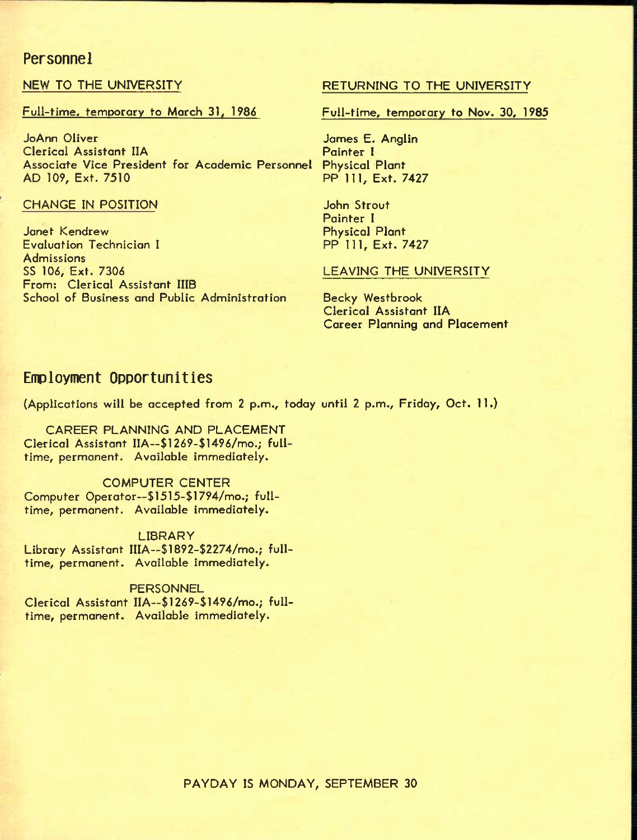### **Personnel**

### Full-time, temporary to March 31, 1986 Full-time, temporary to Nov. 30, 1985

JoAnn Oliver Clerical Assistant IIA Associate Vice President for Academic Personnel Physical Plant<br>AD 109, Ext. 7510 PP 111, Ext. 7427 AD 109, Ext. 7510

### CHANGE IN POSITION **CHANGE IN POSITION**

Janet Kendrew Evaluation Technician I **Admissions** SS 106, Ext. 7306 From: Clerical Assistant IIIB School of Business and Public Administration

### NEW TO THE UNIVERSITY RETURNING TO THE UNIVERSITY

James E. Anglin Painter I

Painter I Physical Plant PP 111, Ext. 7427

### LEAVING THE UNIVERSITY

Becky Westbrook Clerical Assistant IIA Career Planning and Placement

### **Employment Opportunities**

(Applications will be accepted from 2 p.m., today until 2 p.m., Friday, Oct, 11.)

CAREER PLANNING AND PLACEMENT Clerical Assistant IIA~\$1269-\$1496/mo.; fulltime, permanent. Available immediately.

### COMPUTER CENTER Computer Operator--\$1515-\$1794/mo.; fulltime, permanent. Available immediately.

LIBRARY Library Assistant IIIA—\$1892-\$2274/mo.; fulltime, permanent. Available immediately.

### **PERSONNEL** Clerical Assistant IIA--\$1269-\$1496/mo.; fulltime, permanent. Available immediately.

PAYDAY IS MONDAY, SEPTEMBER 30